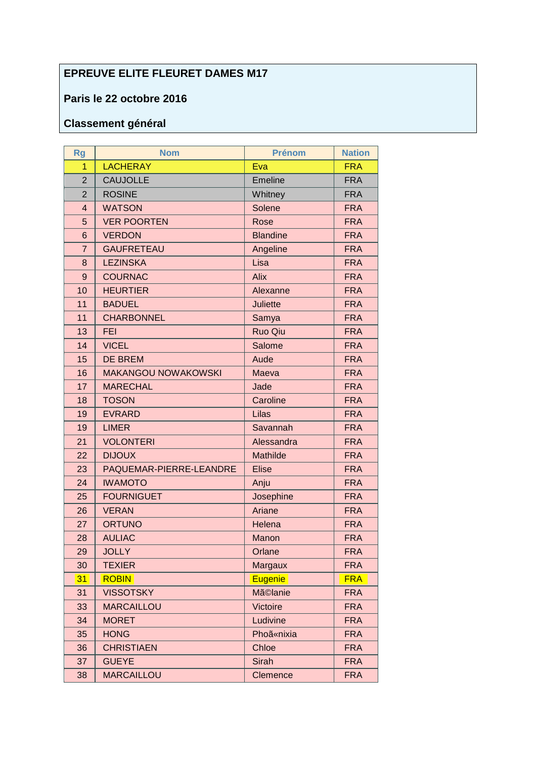## **EPREUVE ELITE FLEURET DAMES M17**

## Paris le 22 octobre 2016

## **Classement général**

| <b>Rg</b>      | <b>Nom</b>                 | <b>Prénom</b>   | <b>Nation</b> |
|----------------|----------------------------|-----------------|---------------|
| 1              | <b>LACHERAY</b>            | Eva             | <b>FRA</b>    |
| $\overline{2}$ | <b>CAUJOLLE</b>            | Emeline         | <b>FRA</b>    |
| $\overline{2}$ | <b>ROSINE</b>              | Whitney         | <b>FRA</b>    |
| $\overline{4}$ | <b>WATSON</b>              | Solene          | <b>FRA</b>    |
| 5              | <b>VER POORTEN</b>         | Rose            | <b>FRA</b>    |
| 6              | <b>VERDON</b>              | <b>Blandine</b> | <b>FRA</b>    |
| 7              | <b>GAUFRETEAU</b>          | Angeline        | <b>FRA</b>    |
| 8              | <b>LEZINSKA</b>            | Lisa            | <b>FRA</b>    |
| $\overline{9}$ | <b>COURNAC</b>             | <b>Alix</b>     | <b>FRA</b>    |
| 10             | <b>HEURTIER</b>            | Alexanne        | <b>FRA</b>    |
| 11             | <b>BADUEL</b>              | <b>Juliette</b> | <b>FRA</b>    |
| 11             | <b>CHARBONNEL</b>          | Samya           | <b>FRA</b>    |
| 13             | <b>FEI</b>                 | Ruo Qiu         | <b>FRA</b>    |
| 14             | <b>VICEL</b>               | Salome          | <b>FRA</b>    |
| 15             | <b>DE BREM</b>             | Aude            | <b>FRA</b>    |
| 16             | <b>MAKANGOU NOWAKOWSKI</b> | Maeva           | <b>FRA</b>    |
| 17             | <b>MARECHAL</b>            | Jade            | <b>FRA</b>    |
| 18             | <b>TOSON</b>               | Caroline        | <b>FRA</b>    |
| 19             | <b>EVRARD</b>              | Lilas           | <b>FRA</b>    |
| 19             | <b>LIMER</b>               | Savannah        | <b>FRA</b>    |
| 21             | <b>VOLONTERI</b>           | Alessandra      | <b>FRA</b>    |
| 22             | <b>DIJOUX</b>              | Mathilde        | <b>FRA</b>    |
| 23             | PAQUEMAR-PIERRE-LEANDRE    | <b>Elise</b>    | <b>FRA</b>    |
| 24             | <b>IWAMOTO</b>             | Anju            | <b>FRA</b>    |
| 25             | <b>FOURNIGUET</b>          | Josephine       | <b>FRA</b>    |
| 26             | <b>VERAN</b>               | Ariane          | <b>FRA</b>    |
| 27             | <b>ORTUNO</b>              | Helena          | <b>FRA</b>    |
| 28             | <b>AULIAC</b>              | <b>Manon</b>    | <b>FRA</b>    |
| 29             | <b>JOLLY</b>               | Orlane          | <b>FRA</b>    |
| 30             | <b>TEXIER</b>              | Margaux         | <b>FRA</b>    |
| 31             | <b>ROBIN</b>               | <b>Eugenie</b>  | <b>FRA</b>    |
| 31             | <b>VISSOTSKY</b>           | Mã©lanie        | <b>FRA</b>    |
| 33             | <b>MARCAILLOU</b>          | Victoire        | <b>FRA</b>    |
| 34             | <b>MORET</b>               | Ludivine        | <b>FRA</b>    |
| 35             | <b>HONG</b>                | Phoã«nixia      | <b>FRA</b>    |
| 36             | <b>CHRISTIAEN</b>          | Chloe           | <b>FRA</b>    |
| 37             | <b>GUEYE</b>               | <b>Sirah</b>    | <b>FRA</b>    |
| 38             | <b>MARCAILLOU</b>          | Clemence        | <b>FRA</b>    |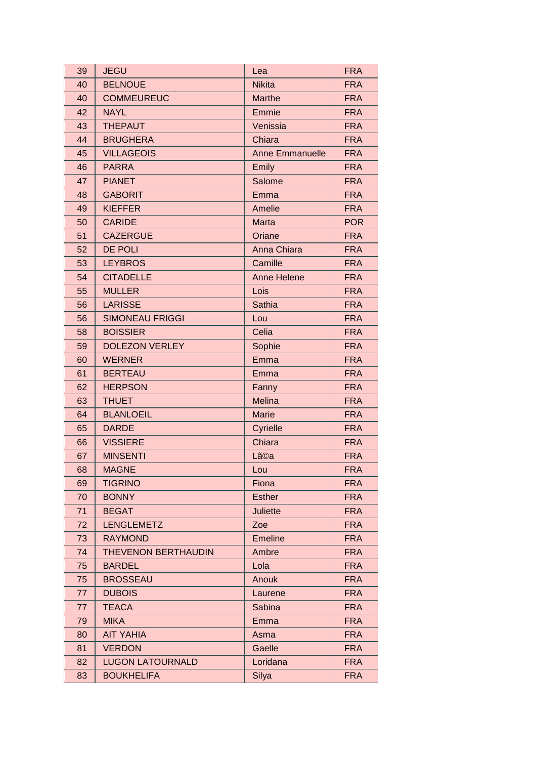| 39 | <b>JEGU</b>                | Lea                    | <b>FRA</b> |
|----|----------------------------|------------------------|------------|
| 40 | <b>BELNOUE</b>             | <b>Nikita</b>          | <b>FRA</b> |
| 40 | <b>COMMEUREUC</b>          | Marthe                 | <b>FRA</b> |
| 42 | <b>NAYL</b>                | Emmie                  | <b>FRA</b> |
| 43 | <b>THEPAUT</b>             | Venissia               | <b>FRA</b> |
| 44 | <b>BRUGHERA</b>            | Chiara                 | <b>FRA</b> |
| 45 | <b>VILLAGEOIS</b>          | <b>Anne Emmanuelle</b> | <b>FRA</b> |
| 46 | <b>PARRA</b>               | Emily                  | <b>FRA</b> |
| 47 | <b>PIANET</b>              | Salome                 | <b>FRA</b> |
| 48 | <b>GABORIT</b>             | Emma                   | <b>FRA</b> |
| 49 | <b>KIEFFER</b>             | Amelie                 | <b>FRA</b> |
| 50 | <b>CARIDE</b>              | <b>Marta</b>           | <b>POR</b> |
| 51 | <b>CAZERGUE</b>            | Oriane                 | <b>FRA</b> |
| 52 | <b>DE POLI</b>             | Anna Chiara            | <b>FRA</b> |
| 53 | <b>LEYBROS</b>             | Camille                | <b>FRA</b> |
| 54 | <b>CITADELLE</b>           | <b>Anne Helene</b>     | <b>FRA</b> |
| 55 | <b>MULLER</b>              | Lois                   | <b>FRA</b> |
| 56 | <b>LARISSE</b>             | Sathia                 | <b>FRA</b> |
| 56 | <b>SIMONEAU FRIGGI</b>     | Lou                    | <b>FRA</b> |
| 58 | <b>BOISSIER</b>            | Celia                  | <b>FRA</b> |
| 59 | <b>DOLEZON VERLEY</b>      | Sophie                 | <b>FRA</b> |
| 60 | <b>WERNER</b>              | Emma                   | <b>FRA</b> |
| 61 | <b>BERTEAU</b>             | Emma                   | <b>FRA</b> |
| 62 | <b>HERPSON</b>             | Fanny                  | <b>FRA</b> |
| 63 | <b>THUET</b>               | Melina                 | <b>FRA</b> |
| 64 | <b>BLANLOEIL</b>           | <b>Marie</b>           | <b>FRA</b> |
| 65 | <b>DARDE</b>               | Cyrielle               | <b>FRA</b> |
| 66 | <b>VISSIERE</b>            | Chiara                 | <b>FRA</b> |
| 67 | <b>MINSENTI</b>            | Lã©a                   | <b>FRA</b> |
| 68 | <b>MAGNE</b>               | Lou                    | <b>FRA</b> |
| 69 | <b>TIGRINO</b>             | Fiona                  | <b>FRA</b> |
| 70 | <b>BONNY</b>               | <b>Esther</b>          | <b>FRA</b> |
| 71 | <b>BEGAT</b>               | <b>Juliette</b>        | <b>FRA</b> |
| 72 | <b>LENGLEMETZ</b>          | Zoe                    | <b>FRA</b> |
| 73 | <b>RAYMOND</b>             | <b>Emeline</b>         | <b>FRA</b> |
| 74 | <b>THEVENON BERTHAUDIN</b> | Ambre                  | <b>FRA</b> |
| 75 | <b>BARDEL</b>              | Lola                   | <b>FRA</b> |
| 75 | <b>BROSSEAU</b>            | Anouk                  | <b>FRA</b> |
| 77 | <b>DUBOIS</b>              | Laurene                | <b>FRA</b> |
| 77 | <b>TEACA</b>               | Sabina                 | <b>FRA</b> |
| 79 | <b>MIKA</b>                | Emma                   | <b>FRA</b> |
| 80 | <b>AIT YAHIA</b>           | Asma                   | <b>FRA</b> |
| 81 | <b>VERDON</b>              | Gaelle                 | <b>FRA</b> |
| 82 | <b>LUGON LATOURNALD</b>    | Loridana               | <b>FRA</b> |
| 83 | <b>BOUKHELIFA</b>          | Silya                  | <b>FRA</b> |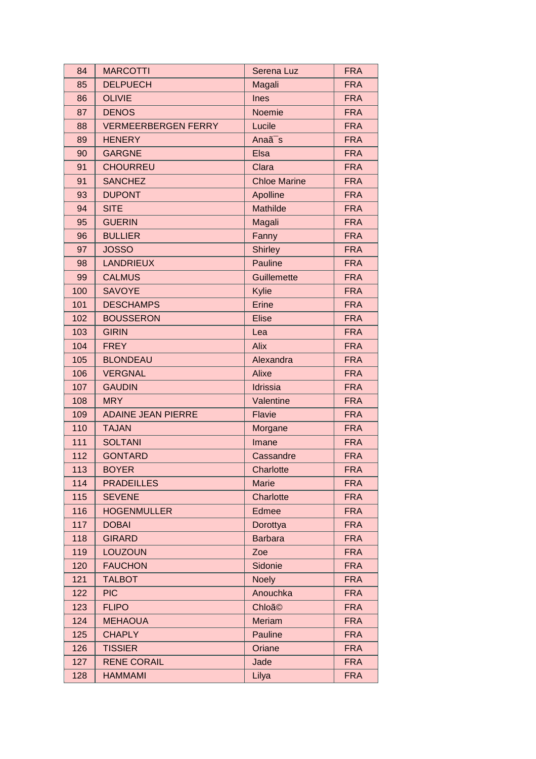| 84  | <b>MARCOTTI</b>            | Serena Luz          | <b>FRA</b> |
|-----|----------------------------|---------------------|------------|
| 85  | <b>DELPUECH</b>            | Magali              | <b>FRA</b> |
| 86  | <b>OLIVIE</b>              | Ines                | <b>FRA</b> |
| 87  | <b>DENOS</b>               | Noemie              | <b>FRA</b> |
| 88  | <b>VERMEERBERGEN FERRY</b> | Lucile              | <b>FRA</b> |
| 89  | <b>HENERY</b>              | Anaã <sup>-</sup> s | <b>FRA</b> |
| 90  | <b>GARGNE</b>              | Elsa                | <b>FRA</b> |
| 91  | <b>CHOURREU</b>            | Clara               | <b>FRA</b> |
| 91  | <b>SANCHEZ</b>             | <b>Chloe Marine</b> | <b>FRA</b> |
| 93  | <b>DUPONT</b>              | Apolline            | <b>FRA</b> |
| 94  | <b>SITE</b>                | Mathilde            | <b>FRA</b> |
| 95  | <b>GUERIN</b>              | Magali              | <b>FRA</b> |
| 96  | <b>BULLIER</b>             | Fanny               | <b>FRA</b> |
| 97  | <b>JOSSO</b>               | <b>Shirley</b>      | <b>FRA</b> |
| 98  | <b>LANDRIEUX</b>           | Pauline             | <b>FRA</b> |
| 99  | <b>CALMUS</b>              | Guillemette         | <b>FRA</b> |
| 100 | <b>SAVOYE</b>              | Kylie               | <b>FRA</b> |
| 101 | <b>DESCHAMPS</b>           | Erine               | <b>FRA</b> |
| 102 | <b>BOUSSERON</b>           | <b>Elise</b>        | <b>FRA</b> |
| 103 | <b>GIRIN</b>               | Lea                 | <b>FRA</b> |
| 104 | <b>FREY</b>                | <b>Alix</b>         | <b>FRA</b> |
| 105 | <b>BLONDEAU</b>            | Alexandra           | <b>FRA</b> |
| 106 | <b>VERGNAL</b>             | Alixe               | <b>FRA</b> |
| 107 | <b>GAUDIN</b>              | Idrissia            | <b>FRA</b> |
| 108 | <b>MRY</b>                 | Valentine           | <b>FRA</b> |
| 109 | <b>ADAINE JEAN PIERRE</b>  | Flavie              | <b>FRA</b> |
| 110 | <b>TAJAN</b>               | Morgane             | <b>FRA</b> |
| 111 | <b>SOLTANI</b>             | Imane               | <b>FRA</b> |
| 112 | <b>GONTARD</b>             | Cassandre           | <b>FRA</b> |
| 113 | <b>BOYER</b>               | Charlotte           | <b>FRA</b> |
| 114 | <b>PRADEILLES</b>          | <b>Marie</b>        | <b>FRA</b> |
| 115 | <b>SEVENE</b>              | Charlotte           | <b>FRA</b> |
| 116 | <b>HOGENMULLER</b>         | Edmee               | <b>FRA</b> |
| 117 | <b>DOBAI</b>               | Dorottya            | <b>FRA</b> |
| 118 | <b>GIRARD</b>              | <b>Barbara</b>      | <b>FRA</b> |
| 119 | <b>LOUZOUN</b>             | Zoe                 | <b>FRA</b> |
| 120 | <b>FAUCHON</b>             | Sidonie             | <b>FRA</b> |
| 121 | <b>TALBOT</b>              | <b>Noely</b>        | <b>FRA</b> |
| 122 | <b>PIC</b>                 | Anouchka            | <b>FRA</b> |
| 123 | <b>FLIPO</b>               | Chloã <sup>©</sup>  | <b>FRA</b> |
| 124 | <b>MEHAOUA</b>             | Meriam              | <b>FRA</b> |
| 125 | <b>CHAPLY</b>              | Pauline             | <b>FRA</b> |
| 126 | <b>TISSIER</b>             | Oriane              | <b>FRA</b> |
| 127 | <b>RENE CORAIL</b>         | Jade                | <b>FRA</b> |
| 128 | <b>HAMMAMI</b>             | Lilya               | <b>FRA</b> |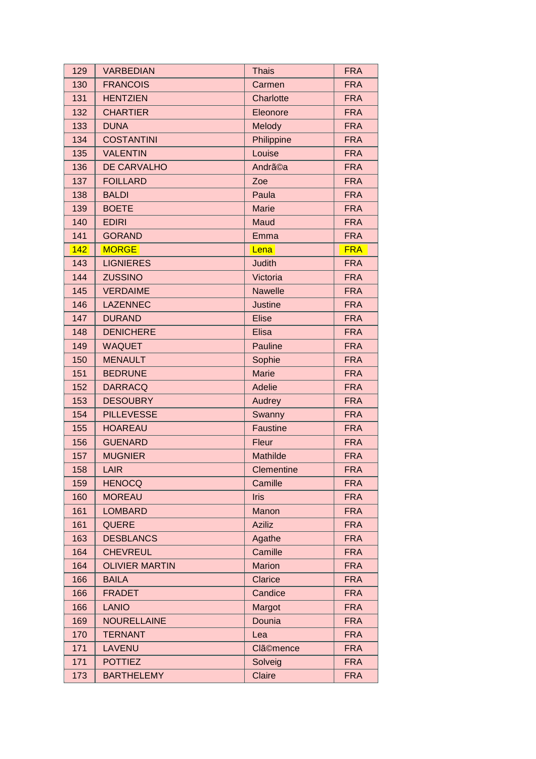| 129 | <b>VARBEDIAN</b>      | <b>Thais</b>        | <b>FRA</b> |
|-----|-----------------------|---------------------|------------|
| 130 | <b>FRANCOIS</b>       | Carmen              | <b>FRA</b> |
| 131 | <b>HENTZIEN</b>       | Charlotte           | <b>FRA</b> |
| 132 | <b>CHARTIER</b>       | Eleonore            | <b>FRA</b> |
| 133 | <b>DUNA</b>           | Melody              | <b>FRA</b> |
| 134 | <b>COSTANTINI</b>     | Philippine          | <b>FRA</b> |
| 135 | <b>VALENTIN</b>       | Louise              | <b>FRA</b> |
| 136 | DE CARVALHO           | Andrã <sup>Ca</sup> | <b>FRA</b> |
| 137 | <b>FOILLARD</b>       | Zoe                 | <b>FRA</b> |
| 138 | <b>BALDI</b>          | Paula               | <b>FRA</b> |
| 139 | <b>BOETE</b>          | <b>Marie</b>        | <b>FRA</b> |
| 140 | <b>EDIRI</b>          | Maud                | <b>FRA</b> |
| 141 | <b>GORAND</b>         | Emma                | <b>FRA</b> |
| 142 | <b>MORGE</b>          | Lena                | <b>FRA</b> |
| 143 | <b>LIGNIERES</b>      | <b>Judith</b>       | <b>FRA</b> |
| 144 | <b>ZUSSINO</b>        | Victoria            | <b>FRA</b> |
| 145 | <b>VERDAIME</b>       | <b>Nawelle</b>      | <b>FRA</b> |
| 146 | <b>LAZENNEC</b>       | <b>Justine</b>      | <b>FRA</b> |
| 147 | <b>DURAND</b>         | <b>Elise</b>        | <b>FRA</b> |
| 148 | <b>DENICHERE</b>      | <b>Elisa</b>        | <b>FRA</b> |
| 149 | <b>WAQUET</b>         | Pauline             | <b>FRA</b> |
| 150 | <b>MENAULT</b>        | Sophie              | <b>FRA</b> |
| 151 | <b>BEDRUNE</b>        | <b>Marie</b>        | <b>FRA</b> |
| 152 | <b>DARRACQ</b>        | Adelie              | <b>FRA</b> |
| 153 | <b>DESOUBRY</b>       | Audrey              | <b>FRA</b> |
| 154 | <b>PILLEVESSE</b>     | Swanny              | <b>FRA</b> |
| 155 | <b>HOAREAU</b>        | Faustine            | <b>FRA</b> |
| 156 | <b>GUENARD</b>        | Fleur               | <b>FRA</b> |
| 157 | <b>MUGNIER</b>        | Mathilde            | <b>FRA</b> |
| 158 | <b>LAIR</b>           | Clementine          | <b>FRA</b> |
| 159 | <b>HENOCQ</b>         | Camille             | <b>FRA</b> |
| 160 | <b>MOREAU</b>         | <b>Iris</b>         | <b>FRA</b> |
| 161 | <b>LOMBARD</b>        | Manon               | <b>FRA</b> |
| 161 | <b>QUERE</b>          | <b>Aziliz</b>       | <b>FRA</b> |
| 163 | <b>DESBLANCS</b>      | Agathe              | <b>FRA</b> |
| 164 | <b>CHEVREUL</b>       | Camille             | <b>FRA</b> |
| 164 | <b>OLIVIER MARTIN</b> | <b>Marion</b>       | <b>FRA</b> |
| 166 | <b>BAILA</b>          | <b>Clarice</b>      | <b>FRA</b> |
| 166 | <b>FRADET</b>         | Candice             | <b>FRA</b> |
| 166 | <b>LANIO</b>          | Margot              | <b>FRA</b> |
| 169 | <b>NOURELLAINE</b>    | Dounia              | <b>FRA</b> |
| 170 | <b>TERNANT</b>        | Lea                 | <b>FRA</b> |
| 171 | <b>LAVENU</b>         | <b>Clã©mence</b>    | <b>FRA</b> |
| 171 | <b>POTTIEZ</b>        | Solveig             | <b>FRA</b> |
| 173 | <b>BARTHELEMY</b>     | Claire              | <b>FRA</b> |